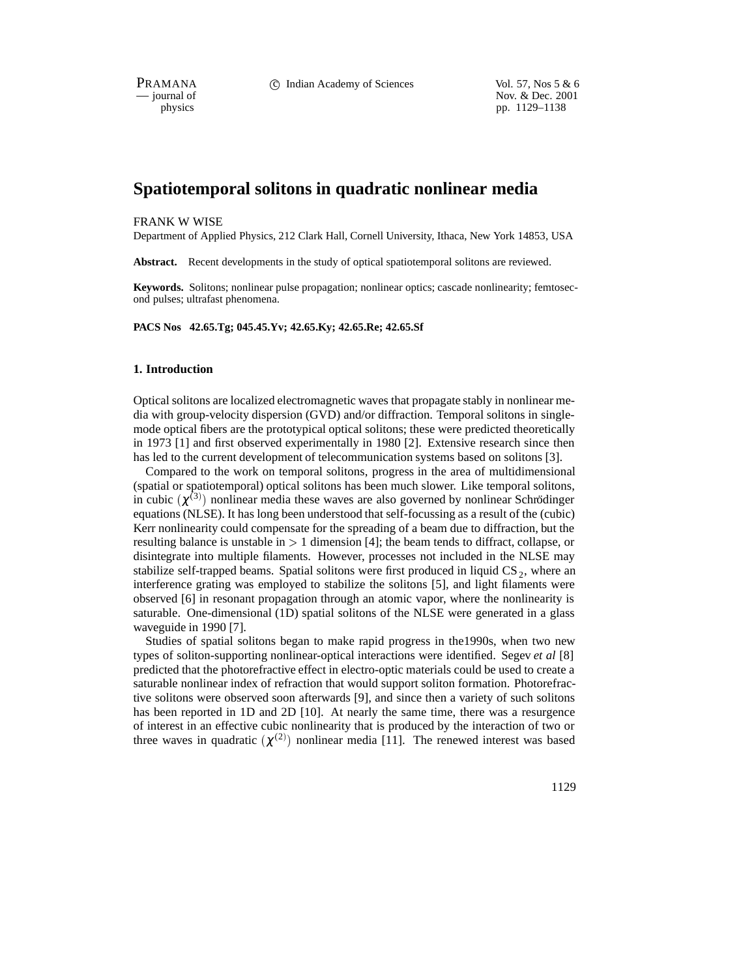PRAMANA 
c Indian Academy of Sciences Vol. 57, Nos 5 & 6<br>
iournal of Nov. & Dec. 2001 position of Nov. & Dec. 2001<br>
physics pp. 1129–1138 pp. 1129–1138

# **Spatiotemporal solitons in quadratic nonlinear media**

#### FRANK W WISE

Department of Applied Physics, 212 Clark Hall, Cornell University, Ithaca, New York 14853, USA

**Abstract.** Recent developments in the study of optical spatiotemporal solitons are reviewed.

**Keywords.** Solitons; nonlinear pulse propagation; nonlinear optics; cascade nonlinearity; femtosecond pulses; ultrafast phenomena.

**PACS Nos 42.65.Tg; 045.45.Yv; 42.65.Ky; 42.65.Re; 42.65.Sf**

### **1. Introduction**

Optical solitons are localized electromagnetic waves that propagate stably in nonlinear media with group-velocity dispersion (GVD) and/or diffraction. Temporal solitons in singlemode optical fibers are the prototypical optical solitons; these were predicted theoretically in 1973 [1] and first observed experimentally in 1980 [2]. Extensive research since then has led to the current development of telecommunication systems based on solitons [3].

Compared to the work on temporal solitons, progress in the area of multidimensional (spatial or spatiotemporal) optical solitons has been much slower. Like temporal solitons, in cubic  $(\chi^{(3)})$  nonlinear media these waves are also governed by nonlinear Schrödinger equations (NLSE). It has long been understood that self-focussing as a result of the (cubic) Kerr nonlinearity could compensate for the spreading of a beam due to diffraction, but the resulting balance is unstable in  $> 1$  dimension [4]; the beam tends to diffract, collapse, or disintegrate into multiple filaments. However, processes not included in the NLSE may stabilize self-trapped beams. Spatial solitons were first produced in liquid  $CS_2$ , where an interference grating was employed to stabilize the solitons [5], and light filaments were observed [6] in resonant propagation through an atomic vapor, where the nonlinearity is saturable. One-dimensional (1D) spatial solitons of the NLSE were generated in a glass waveguide in 1990 [7].

Studies of spatial solitons began to make rapid progress in the1990s, when two new types of soliton-supporting nonlinear-optical interactions were identified. Segev *et al* [8] predicted that the photorefractive effect in electro-optic materials could be used to create a saturable nonlinear index of refraction that would support soliton formation. Photorefractive solitons were observed soon afterwards [9], and since then a variety of such solitons has been reported in 1D and 2D [10]. At nearly the same time, there was a resurgence of interest in an effective cubic nonlinearity that is produced by the interaction of two or three waves in quadratic  $(\chi^{(2)})$  nonlinear media [11]. The renewed interest was based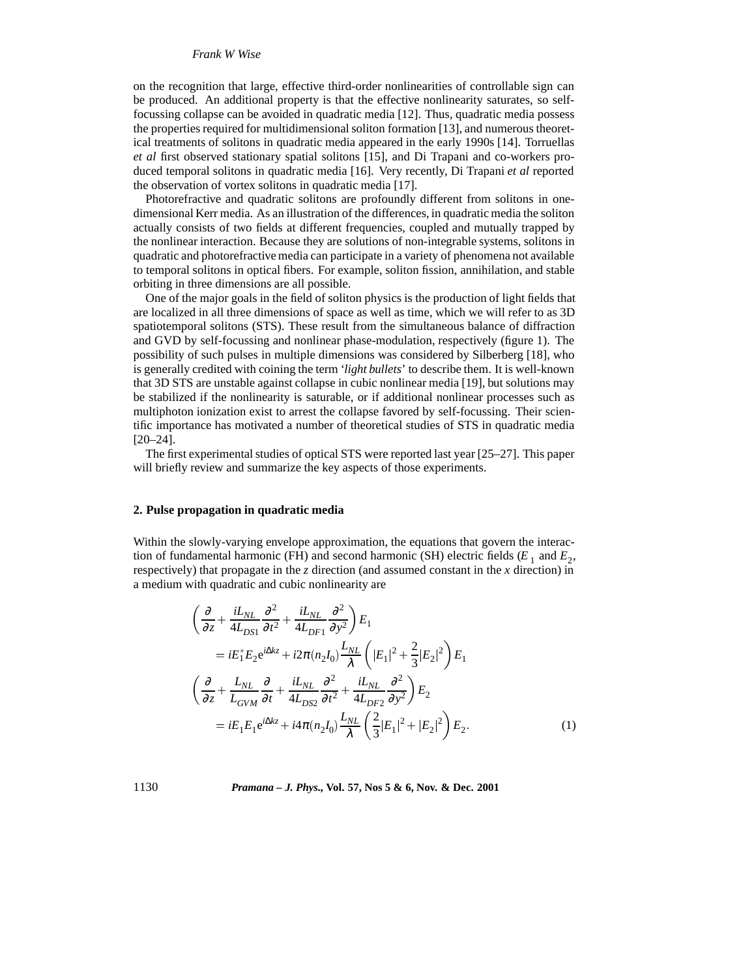# *Frank W Wise*

on the recognition that large, effective third-order nonlinearities of controllable sign can be produced. An additional property is that the effective nonlinearity saturates, so selffocussing collapse can be avoided in quadratic media [12]. Thus, quadratic media possess the properties required for multidimensional soliton formation [13], and numerous theoretical treatments of solitons in quadratic media appeared in the early 1990s [14]. Torruellas *et al* first observed stationary spatial solitons [15], and Di Trapani and co-workers produced temporal solitons in quadratic media [16]. Very recently, Di Trapani *et al* reported the observation of vortex solitons in quadratic media [17].

Photorefractive and quadratic solitons are profoundly different from solitons in onedimensional Kerr media. As an illustration of the differences, in quadratic media the soliton actually consists of two fields at different frequencies, coupled and mutually trapped by the nonlinear interaction. Because they are solutions of non-integrable systems, solitons in quadratic and photorefractive media can participate in a variety of phenomena not available to temporal solitons in optical fibers. For example, soliton fission, annihilation, and stable orbiting in three dimensions are all possible.

One of the major goals in the field of soliton physics is the production of light fields that are localized in all three dimensions of space as well as time, which we will refer to as 3D spatiotemporal solitons (STS). These result from the simultaneous balance of diffraction and GVD by self-focussing and nonlinear phase-modulation, respectively (figure 1). The possibility of such pulses in multiple dimensions was considered by Silberberg [18], who is generally credited with coining the term '*light bullets*' to describe them. It is well-known that 3D STS are unstable against collapse in cubic nonlinear media [19], but solutions may be stabilized if the nonlinearity is saturable, or if additional nonlinear processes such as multiphoton ionization exist to arrest the collapse favored by self-focussing. Their scientific importance has motivated a number of theoretical studies of STS in quadratic media [20–24].

The first experimental studies of optical STS were reported last year [25–27]. This paper will briefly review and summarize the key aspects of those experiments.

#### **2. Pulse propagation in quadratic media**

Within the slowly-varying envelope approximation, the equations that govern the interaction of fundamental harmonic (FH) and second harmonic (SH) electric fields  $(E_1 \text{ and } E_2)$ , respectively) that propagate in the *z* direction (and assumed constant in the *x* direction) in a medium with quadratic and cubic nonlinearity are

$$
\begin{split}\n&\left(\frac{\partial}{\partial z} + \frac{iL_{NL}}{4L_{DS1}}\frac{\partial^2}{\partial t^2} + \frac{iL_{NL}}{4L_{DF1}}\frac{\partial^2}{\partial y^2}\right)E_1 \\
&= iE_1^*E_2e^{i\Delta kz} + i2\pi(n_2I_0)\frac{L_{NL}}{\lambda}\left(|E_1|^2 + \frac{2}{3}|E_2|^2\right)E_1 \\
&\left(\frac{\partial}{\partial z} + \frac{L_{NL}}{L_{GVM}}\frac{\partial}{\partial t} + \frac{iL_{NL}}{4L_{DS2}}\frac{\partial^2}{\partial t^2} + \frac{iL_{NL}}{4L_{DF2}}\frac{\partial^2}{\partial y^2}\right)E_2 \\
&= iE_1E_1e^{i\Delta kz} + i4\pi(n_2I_0)\frac{L_{NL}}{\lambda}\left(\frac{2}{3}|E_1|^2 + |E_2|^2\right)E_2.\n\end{split} \tag{1}
$$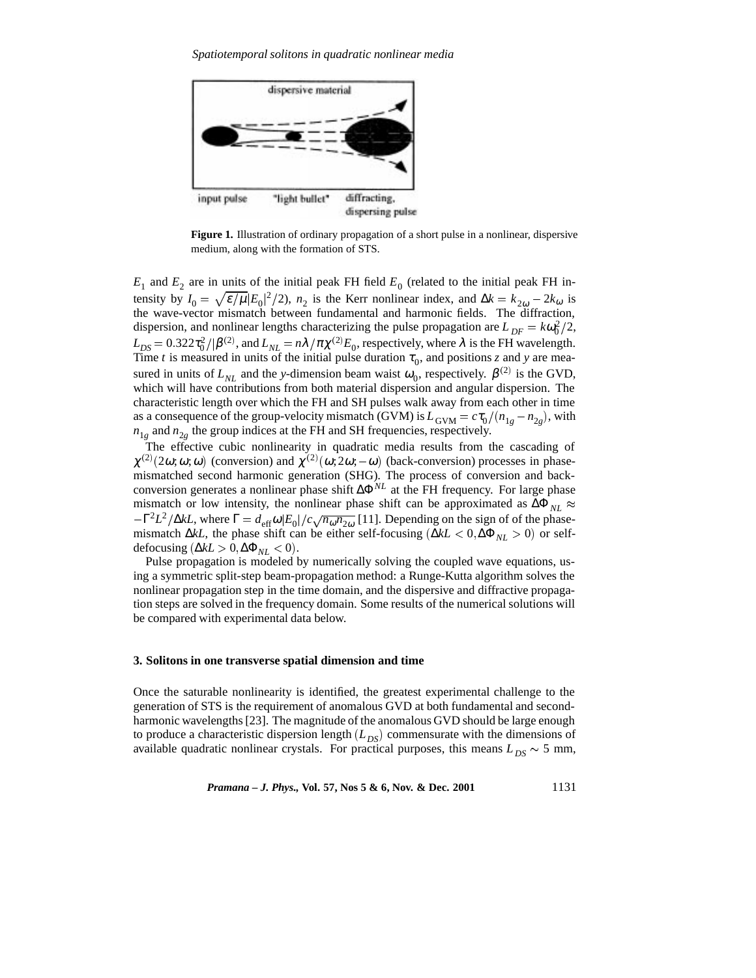

**Figure 1.** Illustration of ordinary propagation of a short pulse in a nonlinear, dispersive medium, along with the formation of STS.

 $E_1$  and  $E_2$  are in units of the initial peak FH field  $E_0$  (related to the initial peak FH intensity by  $I_0 = \sqrt{\varepsilon/\mu} |E_0|^2/2$ ,  $n_2$  is the Kerr nonlinear index, and  $\Delta k = k_{2\omega} - 2k_{\omega}$  is the wave-vector mismatch between fundamental and harmonic fields. The diffraction, dispersion, and nonlinear lengths characterizing the pulse propagation are  $L_{DF} = k\omega_0^2/2$ ,  $L_{DS} = 0.322 \tau_0^2 / |\beta^{(2)}|$ , and  $L_{NL} = n\lambda / \pi \chi^{(2)} E_0$ , respectively, where  $\lambda$  is the FH wavelength. Time *t* is measured in units of the initial pulse duration  $\tau_0$ , and positions *z* and *y* are measured in units of  $L_{NL}$  and the *y*-dimension beam waist  $\omega_0$ , respectively.  $\beta^{(2)}$  is the GVD, which will have contributions from both material dispersion and angular dispersion. The characteristic length over which the FH and SH pulses walk away from each other in time as a consequence of the group-velocity mismatch (GVM) is  $L_{GVM} = c\tau_0/(n_{1g} - n_{2g})$ , with  $n_{1g}$  and  $n_{2g}$  the group indices at the FH and SH frequencies, respectively.

The effective cubic nonlinearity in quadratic media results from the cascading of  $\chi^{(2)}(2\omega;\omega;\omega)$  (conversion) and  $\chi^{(2)}(\omega;2\omega;-\omega)$  (back-conversion) processes in phasemismatched second harmonic generation (SHG). The process of conversion and backconversion generates a nonlinear phase shift ∆Φ*NL* at the FH frequency. For large phase mismatch or low intensity, the nonlinear phase shift can be approximated as  $\Delta \Phi_{NL} \approx$  $-\Gamma^2 L^2/\Delta kL$ , where  $\Gamma = d_{\text{eff}}\omega |E_0|/c \sqrt{n_{\omega}n_{2\omega}}$  [11]. Depending on the sign of of the phasemismatch ∆*kL*, the phase shift can be either self-focusing (∆*kL* <sup>&</sup>lt; 0; ∆Φ*NL* <sup>&</sup>gt; 0) or selfdefocusing ( $\Delta kL > 0$ ,  $\Delta \Phi_{NL} < 0$ ).

Pulse propagation is modeled by numerically solving the coupled wave equations, using a symmetric split-step beam-propagation method: a Runge-Kutta algorithm solves the nonlinear propagation step in the time domain, and the dispersive and diffractive propagation steps are solved in the frequency domain. Some results of the numerical solutions will be compared with experimental data below.

#### **3. Solitons in one transverse spatial dimension and time**

Once the saturable nonlinearity is identified, the greatest experimental challenge to the generation of STS is the requirement of anomalous GVD at both fundamental and secondharmonic wavelengths [23]. The magnitude of the anomalous GVD should be large enough to produce a characteristic dispersion length  $(L_{DS})$  commensurate with the dimensions of available quadratic nonlinear crystals. For practical purposes, this means  $L_{DS} \sim 5$  mm,

*Pramana – J. Phys.,* **Vol. 57, Nos 5 & 6, Nov. & Dec. 2001** 1131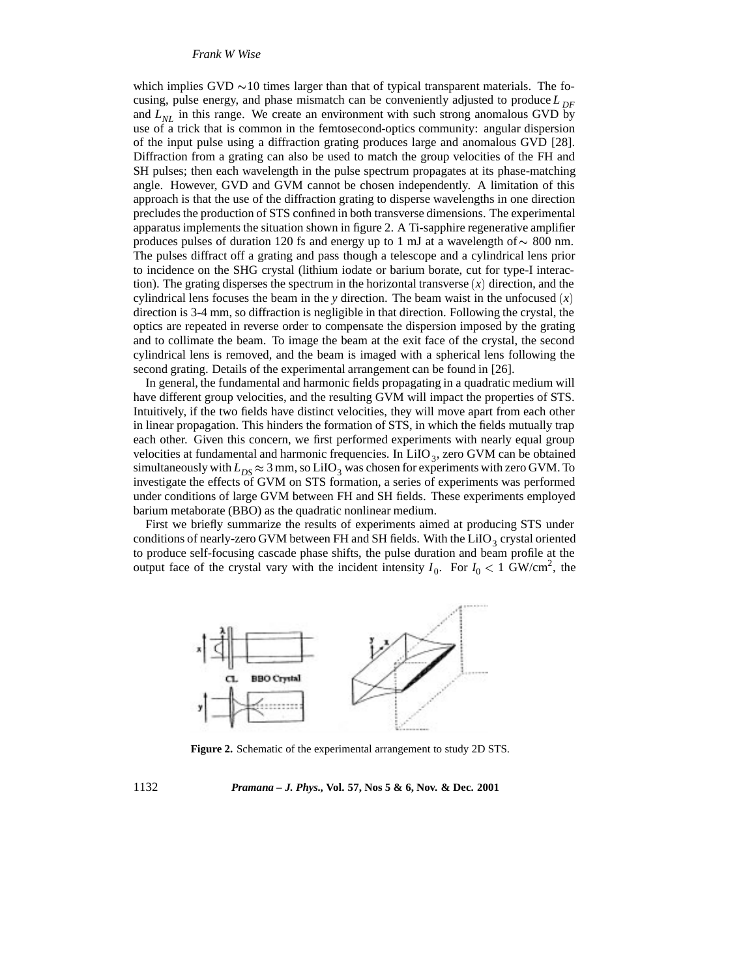which implies GVD  $\sim$  10 times larger than that of typical transparent materials. The focusing, pulse energy, and phase mismatch can be conveniently adjusted to produce  $L_{DF}$ and  $L_{NL}$  in this range. We create an environment with such strong anomalous GVD by use of a trick that is common in the femtosecond-optics community: angular dispersion of the input pulse using a diffraction grating produces large and anomalous GVD [28]. Diffraction from a grating can also be used to match the group velocities of the FH and SH pulses; then each wavelength in the pulse spectrum propagates at its phase-matching angle. However, GVD and GVM cannot be chosen independently. A limitation of this approach is that the use of the diffraction grating to disperse wavelengths in one direction precludes the production of STS confined in both transverse dimensions. The experimental apparatus implements the situation shown in figure 2. A Ti-sapphire regenerative amplifier produces pulses of duration 120 fs and energy up to 1 mJ at a wavelength of  $\sim 800$  nm. The pulses diffract off a grating and pass though a telescope and a cylindrical lens prior to incidence on the SHG crystal (lithium iodate or barium borate, cut for type-I interaction). The grating disperses the spectrum in the horizontal transverse (*x*) direction, and the cylindrical lens focuses the beam in the *y* direction. The beam waist in the unfocused (*x*) direction is 3-4 mm, so diffraction is negligible in that direction. Following the crystal, the optics are repeated in reverse order to compensate the dispersion imposed by the grating and to collimate the beam. To image the beam at the exit face of the crystal, the second cylindrical lens is removed, and the beam is imaged with a spherical lens following the second grating. Details of the experimental arrangement can be found in [26].

In general, the fundamental and harmonic fields propagating in a quadratic medium will have different group velocities, and the resulting GVM will impact the properties of STS. Intuitively, if the two fields have distinct velocities, they will move apart from each other in linear propagation. This hinders the formation of STS, in which the fields mutually trap each other. Given this concern, we first performed experiments with nearly equal group velocities at fundamental and harmonic frequencies. In  $LiO<sub>3</sub>$ , zero GVM can be obtained simultaneously with  $L_{DS} \approx 3$  mm, so LiIO<sub>3</sub> was chosen for experiments with zero GVM. To investigate the effects of GVM on STS formation, a series of experiments was performed under conditions of large GVM between FH and SH fields. These experiments employed barium metaborate (BBO) as the quadratic nonlinear medium.

First we briefly summarize the results of experiments aimed at producing STS under conditions of nearly-zero GVM between FH and SH fields. With the LiIO<sub>3</sub> crystal oriented to produce self-focusing cascade phase shifts, the pulse duration and beam profile at the output face of the crystal vary with the incident intensity  $I_0$ . For  $I_0 < 1$  GW/cm<sup>2</sup>, the



**Figure 2.** Schematic of the experimental arrangement to study 2D STS.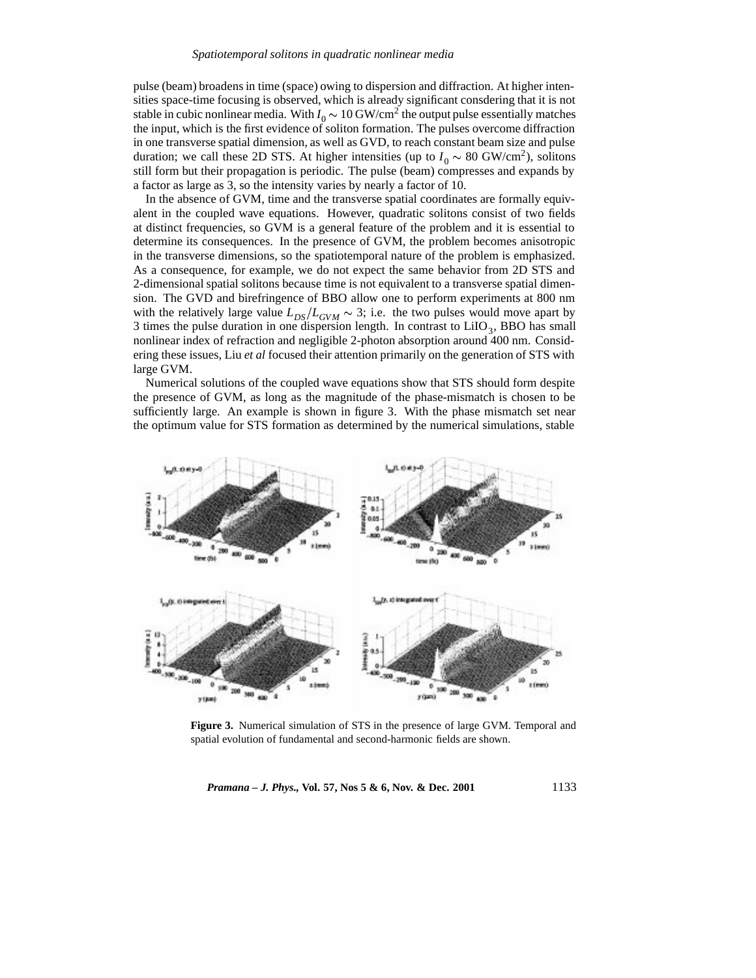pulse (beam) broadens in time (space) owing to dispersion and diffraction. At higher intensities space-time focusing is observed, which is already significant consdering that it is not stable in cubic nonlinear media. With  $I_0 \sim 10 \text{ GW/cm}^2$  the output pulse essentially matches the input, which is the first evidence of soliton formation. The pulses overcome diffraction in one transverse spatial dimension, as well as GVD, to reach constant beam size and pulse duration; we call these 2D STS. At higher intensities (up to  $I_0 \sim 80 \text{ GW/cm}^2$ ), solitons still form but their propagation is periodic. The pulse (beam) compresses and expands by a factor as large as 3, so the intensity varies by nearly a factor of 10.

In the absence of GVM, time and the transverse spatial coordinates are formally equivalent in the coupled wave equations. However, quadratic solitons consist of two fields at distinct frequencies, so GVM is a general feature of the problem and it is essential to determine its consequences. In the presence of GVM, the problem becomes anisotropic in the transverse dimensions, so the spatiotemporal nature of the problem is emphasized. As a consequence, for example, we do not expect the same behavior from 2D STS and 2-dimensional spatial solitons because time is not equivalent to a transverse spatial dimension. The GVD and birefringence of BBO allow one to perform experiments at 800 nm with the relatively large value  $L_{DS}/L_{GVM} \sim 3$ ; i.e. the two pulses would move apart by 3 times the pulse duration in one dispersion length. In contrast to  $LiIO<sub>3</sub>$ , BBO has small nonlinear index of refraction and negligible 2-photon absorption around 400 nm. Considering these issues, Liu *et al* focused their attention primarily on the generation of STS with large GVM.

Numerical solutions of the coupled wave equations show that STS should form despite the presence of GVM, as long as the magnitude of the phase-mismatch is chosen to be sufficiently large. An example is shown in figure 3. With the phase mismatch set near the optimum value for STS formation as determined by the numerical simulations, stable



**Figure 3.** Numerical simulation of STS in the presence of large GVM. Temporal and spatial evolution of fundamental and second-harmonic fields are shown.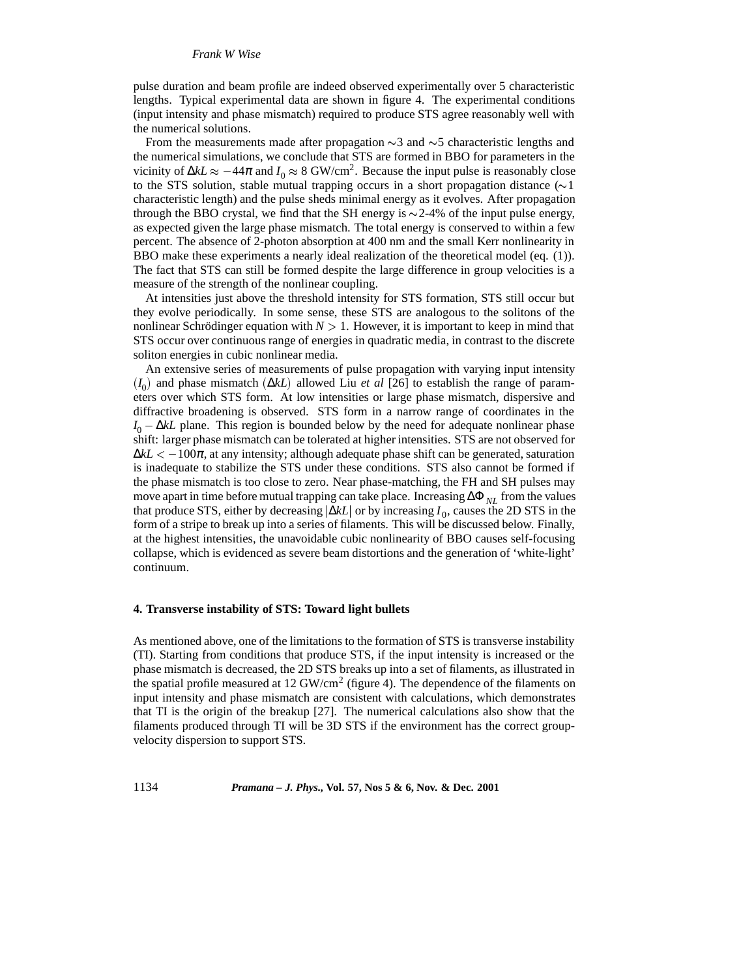# *Frank W Wise*

pulse duration and beam profile are indeed observed experimentally over 5 characteristic lengths. Typical experimental data are shown in figure 4. The experimental conditions (input intensity and phase mismatch) required to produce STS agree reasonably well with the numerical solutions.

From the measurements made after propagation  $\sim$ 3 and  $\sim$ 5 characteristic lengths and the numerical simulations, we conclude that STS are formed in BBO for parameters in the vicinity of Δ*kL*  $\approx$  -44π and  $I_0 \approx 8$  GW/cm<sup>2</sup>. Because the input pulse is reasonably close to the STS solution, stable mutual trapping occurs in a short propagation distance ( $\sim$ 1) characteristic length) and the pulse sheds minimal energy as it evolves. After propagation through the BBO crystal, we find that the SH energy is  $\sim$  2-4% of the input pulse energy, as expected given the large phase mismatch. The total energy is conserved to within a few percent. The absence of 2-photon absorption at 400 nm and the small Kerr nonlinearity in BBO make these experiments a nearly ideal realization of the theoretical model (eq. (1)). The fact that STS can still be formed despite the large difference in group velocities is a measure of the strength of the nonlinear coupling.

At intensities just above the threshold intensity for STS formation, STS still occur but they evolve periodically. In some sense, these STS are analogous to the solitons of the nonlinear Schrödinger equation with  $N > 1$ . However, it is important to keep in mind that STS occur over continuous range of energies in quadratic media, in contrast to the discrete soliton energies in cubic nonlinear media.

An extensive series of measurements of pulse propagation with varying input intensity  $(I_0)$  and phase mismatch  $(\Delta k L)$  allowed Liu *et al* [26] to establish the range of parameters over which STS form. At low intensities or large phase mismatch, dispersive and diffractive broadening is observed. STS form in a narrow range of coordinates in the  $I_0 - \Delta k L$  plane. This region is bounded below by the need for adequate nonlinear phase shift: larger phase mismatch can be tolerated at higher intensities. STS are not observed for  $\Delta kL$  < −100 $\pi$ , at any intensity; although adequate phase shift can be generated, saturation is inadequate to stabilize the STS under these conditions. STS also cannot be formed if the phase mismatch is too close to zero. Near phase-matching, the FH and SH pulses may move apart in time before mutual trapping can take place. Increasing ∆Φ *NL* from the values that produce STS, either by decreasing <sup>j</sup>∆*kL*<sup>j</sup> or by increasing *I* <sup>0</sup>, causes the 2D STS in the form of a stripe to break up into a series of filaments. This will be discussed below. Finally, at the highest intensities, the unavoidable cubic nonlinearity of BBO causes self-focusing collapse, which is evidenced as severe beam distortions and the generation of 'white-light' continuum.

# **4. Transverse instability of STS: Toward light bullets**

As mentioned above, one of the limitations to the formation of STS is transverse instability (TI). Starting from conditions that produce STS, if the input intensity is increased or the phase mismatch is decreased, the 2D STS breaks up into a set of filaments, as illustrated in the spatial profile measured at 12 GW/cm<sup>2</sup> (figure 4). The dependence of the filaments on input intensity and phase mismatch are consistent with calculations, which demonstrates that TI is the origin of the breakup [27]. The numerical calculations also show that the filaments produced through TI will be 3D STS if the environment has the correct groupvelocity dispersion to support STS.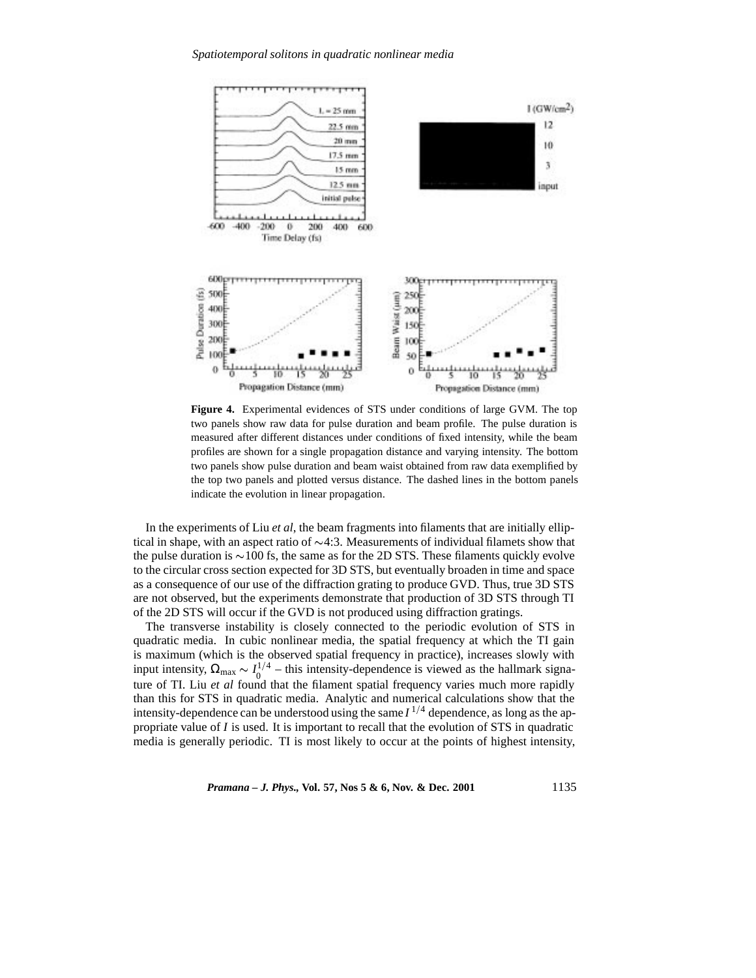

**Figure 4.** Experimental evidences of STS under conditions of large GVM. The top two panels show raw data for pulse duration and beam profile. The pulse duration is measured after different distances under conditions of fixed intensity, while the beam profiles are shown for a single propagation distance and varying intensity. The bottom two panels show pulse duration and beam waist obtained from raw data exemplified by the top two panels and plotted versus distance. The dashed lines in the bottom panels indicate the evolution in linear propagation.

In the experiments of Liu *et al*, the beam fragments into filaments that are initially elliptical in shape, with an aspect ratio of  $\sim$ 4:3. Measurements of individual filamets show that the pulse duration is  $\sim$ 100 fs, the same as for the 2D STS. These filaments quickly evolve to the circular cross section expected for 3D STS, but eventually broaden in time and space as a consequence of our use of the diffraction grating to produce GVD. Thus, true 3D STS are not observed, but the experiments demonstrate that production of 3D STS through TI of the 2D STS will occur if the GVD is not produced using diffraction gratings.

The transverse instability is closely connected to the periodic evolution of STS in quadratic media. In cubic nonlinear media, the spatial frequency at which the TI gain is maximum (which is the observed spatial frequency in practice), increases slowly with input intensity,  $\Omega_{\text{max}} \sim I_0^{1/4}$  – this intensity-dependence is viewed as the hallmark signature of TI. Liu *et al* found that the filament spatial frequency varies much more rapidly than this for STS in quadratic media. Analytic and numerical calculations show that the intensity-dependence can be understood using the same  $I^{1/4}$  dependence, as long as the appropriate value of *I* is used. It is important to recall that the evolution of STS in quadratic media is generally periodic. TI is most likely to occur at the points of highest intensity,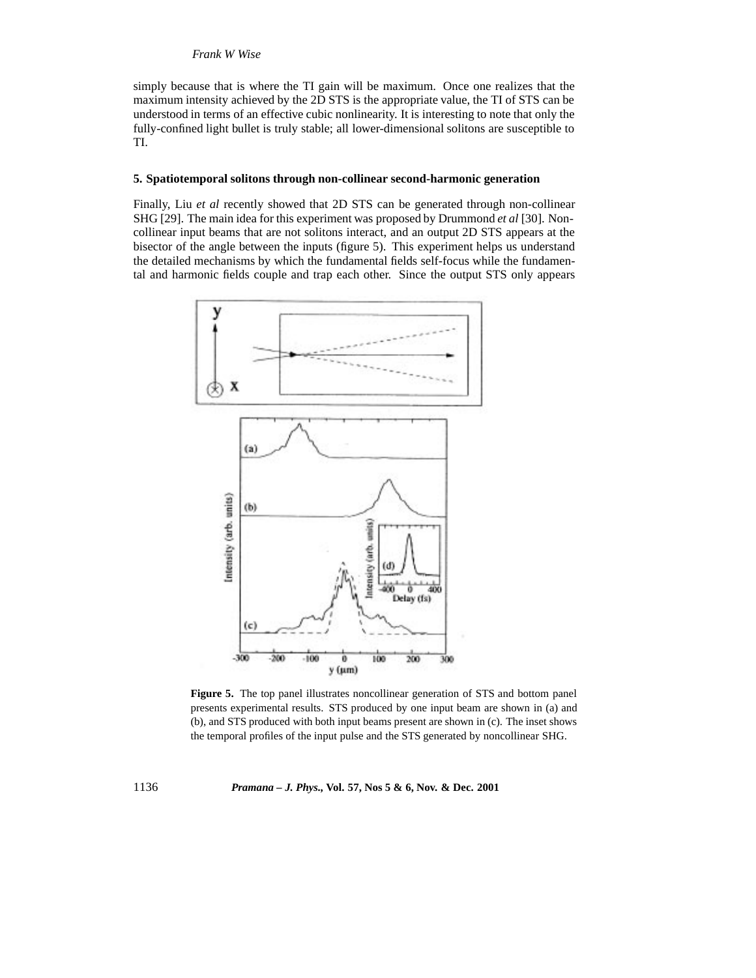## *Frank W Wise*

simply because that is where the TI gain will be maximum. Once one realizes that the maximum intensity achieved by the 2D STS is the appropriate value, the TI of STS can be understood in terms of an effective cubic nonlinearity. It is interesting to note that only the fully-confined light bullet is truly stable; all lower-dimensional solitons are susceptible to TI.

#### **5. Spatiotemporal solitons through non-collinear second-harmonic generation**

Finally, Liu *et al* recently showed that 2D STS can be generated through non-collinear SHG [29]. The main idea for this experiment was proposed by Drummond *et al* [30]. Noncollinear input beams that are not solitons interact, and an output 2D STS appears at the bisector of the angle between the inputs (figure 5). This experiment helps us understand the detailed mechanisms by which the fundamental fields self-focus while the fundamental and harmonic fields couple and trap each other. Since the output STS only appears



**Figure 5.** The top panel illustrates noncollinear generation of STS and bottom panel presents experimental results. STS produced by one input beam are shown in (a) and (b), and STS produced with both input beams present are shown in (c). The inset shows the temporal profiles of the input pulse and the STS generated by noncollinear SHG.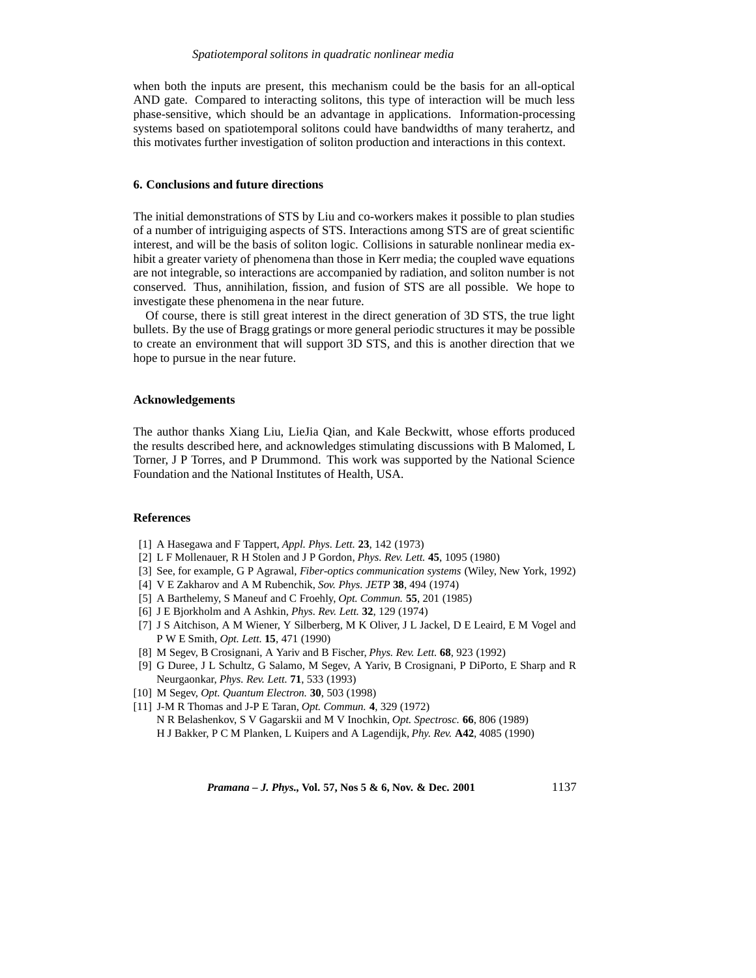when both the inputs are present, this mechanism could be the basis for an all-optical AND gate. Compared to interacting solitons, this type of interaction will be much less phase-sensitive, which should be an advantage in applications. Information-processing systems based on spatiotemporal solitons could have bandwidths of many terahertz, and this motivates further investigation of soliton production and interactions in this context.

# **6. Conclusions and future directions**

The initial demonstrations of STS by Liu and co-workers makes it possible to plan studies of a number of intriguiging aspects of STS. Interactions among STS are of great scientific interest, and will be the basis of soliton logic. Collisions in saturable nonlinear media exhibit a greater variety of phenomena than those in Kerr media; the coupled wave equations are not integrable, so interactions are accompanied by radiation, and soliton number is not conserved. Thus, annihilation, fission, and fusion of STS are all possible. We hope to investigate these phenomena in the near future.

Of course, there is still great interest in the direct generation of 3D STS, the true light bullets. By the use of Bragg gratings or more general periodic structures it may be possible to create an environment that will support 3D STS, and this is another direction that we hope to pursue in the near future.

# **Acknowledgements**

The author thanks Xiang Liu, LieJia Qian, and Kale Beckwitt, whose efforts produced the results described here, and acknowledges stimulating discussions with B Malomed, L Torner, J P Torres, and P Drummond. This work was supported by the National Science Foundation and the National Institutes of Health, USA.

#### **References**

- [1] A Hasegawa and F Tappert, *Appl. Phys. Lett.* **23**, 142 (1973)
- [2] L F Mollenauer, R H Stolen and J P Gordon, *Phys. Rev. Lett.* **45**, 1095 (1980)
- [3] See, for example, G P Agrawal, *Fiber-optics communication systems* (Wiley, New York, 1992)
- [4] V E Zakharov and A M Rubenchik, *Sov. Phys. JETP* **38**, 494 (1974)
- [5] A Barthelemy, S Maneuf and C Froehly, *Opt. Commun.* **55**, 201 (1985)
- [6] J E Bjorkholm and A Ashkin, *Phys. Rev. Lett.* **32**, 129 (1974)
- [7] J S Aitchison, A M Wiener, Y Silberberg, M K Oliver, J L Jackel, D E Leaird, E M Vogel and P W E Smith, *Opt. Lett.* **15**, 471 (1990)
- [8] M Segev, B Crosignani, A Yariv and B Fischer, *Phys. Rev. Lett.* **68**, 923 (1992)
- [9] G Duree, J L Schultz, G Salamo, M Segev, A Yariv, B Crosignani, P DiPorto, E Sharp and R Neurgaonkar, *Phys. Rev. Lett.* **71**, 533 (1993)
- [10] M Segev, *Opt. Quantum Electron.* **30**, 503 (1998)
- [11] J-M R Thomas and J-P E Taran, *Opt. Commun.* **4**, 329 (1972) N R Belashenkov, S V Gagarskii and M V Inochkin, *Opt. Spectrosc.* **66**, 806 (1989) H J Bakker, P C M Planken, L Kuipers and A Lagendijk, *Phy. Rev.* **A42**, 4085 (1990)